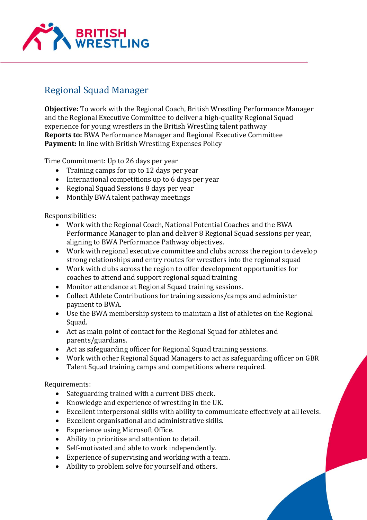

## Regional Squad Manager

**Objective:** To work with the Regional Coach, British Wrestling Performance Manager and the Regional Executive Committee to deliver a high-quality Regional Squad experience for young wrestlers in the British Wrestling talent pathway **Reports to:** BWA Performance Manager and Regional Executive Committee **Payment:** In line with British Wrestling Expenses Policy

Time Commitment: Up to 26 days per year

- Training camps for up to 12 days per year
- International competitions up to 6 days per year
- Regional Squad Sessions 8 days per year
- Monthly BWA talent pathway meetings

Responsibilities:

- Work with the Regional Coach, National Potential Coaches and the BWA Performance Manager to plan and deliver 8 Regional Squad sessions per year, aligning to BWA Performance Pathway objectives.
- Work with regional executive committee and clubs across the region to develop strong relationships and entry routes for wrestlers into the regional squad
- Work with clubs across the region to offer development opportunities for coaches to attend and support regional squad training
- Monitor attendance at Regional Squad training sessions.
- Collect Athlete Contributions for training sessions/camps and administer payment to BWA.
- Use the BWA membership system to maintain a list of athletes on the Regional Squad.
- Act as main point of contact for the Regional Squad for athletes and parents/guardians.
- Act as safeguarding officer for Regional Squad training sessions.
- Work with other Regional Squad Managers to act as safeguarding officer on GBR Talent Squad training camps and competitions where required.

Requirements:

- Safeguarding trained with a current DBS check.
- Knowledge and experience of wrestling in the UK.
- Excellent interpersonal skills with ability to communicate effectively at all levels.
- Excellent organisational and administrative skills.
- Experience using Microsoft Office.
- Ability to prioritise and attention to detail.
- Self-motivated and able to work independently.
- Experience of supervising and working with a team.
- Ability to problem solve for yourself and others.